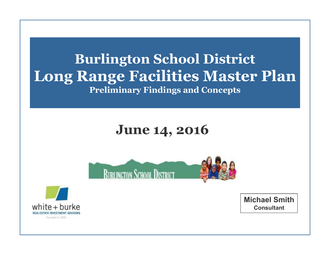### **Burlington School District Long Range Facilities Master PlanPreliminary Findings and Concepts**

### **June 14, 2016**





**Michael SmithConsultant**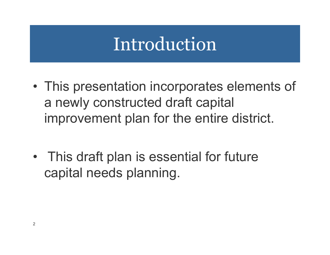## Introduction

- •This presentation incorporates elements of a newly constructed draft capital improvement plan for the entire district.
- •This draft plan is essential for future capital needs planning.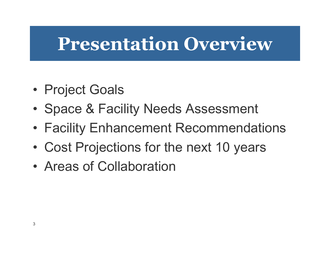## **Presentation Overview**

- •Project Goals
- •Space & Facility Needs Assessment
- Facility Enhancement Recommendations
- •Cost Projections for the next 10 years
- •Areas of Collaboration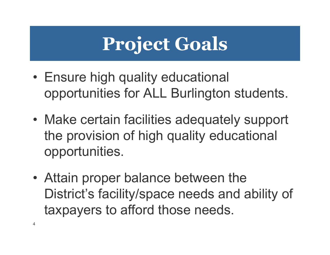# **Project Goals**

- Ensure high quality educational opportunities for ALL Burlington students.
- •Make certain facilities adequately support the provision of high quality educational opportunities.
- Attain proper balance between the District's facility/space needs and ability of taxpayers to afford those needs.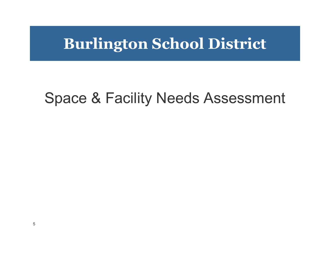### **Burlington School District**

### Space & Facility Needs Assessment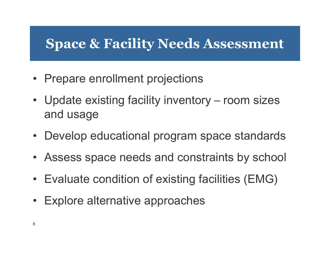### **Space & Facility Needs Assessment**

- Prepare enrollment projections
- Update existing facility inventory room sizes and usage
- Develop educational program space standards
- Assess space needs and constraints by school
- Evaluate condition of existing facilities (EMG)
- Explore alternative approaches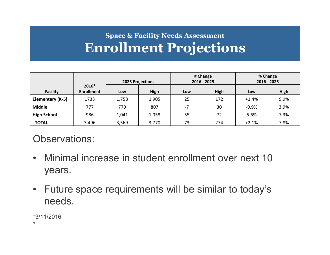### **Space & Facility Needs AssessmentEnrollment Projections**

|                    |                            | # Change<br>2016 - 2025<br><b>2025 Projections</b> |       | % Change<br>2016 - 2025 |      |         |      |
|--------------------|----------------------------|----------------------------------------------------|-------|-------------------------|------|---------|------|
| <b>Facility</b>    | 2016*<br><b>Enrollment</b> | Low                                                | High  | Low                     | High | Low     | High |
| Elementary (K-5)   | 1733                       | 1,758                                              | 1,905 | 25                      | 172  | $+1.4%$ | 9.9% |
| <b>Middle</b>      | 777                        | 770                                                | 807   | $-7$                    | 30   | $-0.9%$ | 3.9% |
| <b>High School</b> | 986                        | 1,041                                              | 1,058 | 55                      | 72   | 5.6%    | 7.3% |
| <b>TOTAL</b>       | 3,496                      | 3,569                                              | 3,770 | 73                      | 274  | $+2.1%$ | 7.8% |

Observations:

- Minimal increase in student enrollment over next 10 years.
- Future space requirements will be similar to today's needs.

7\*3/11/2016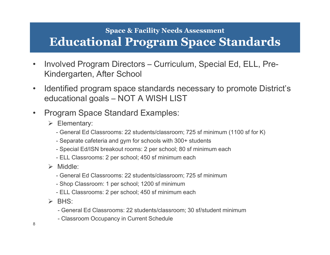#### **Space & Facility Needs AssessmentEducational Program Space Standards**

- • Involved Program Directors – Curriculum, Special Ed, ELL, Pre-Kindergarten, After School
- • Identified program space standards necessary to promote District's educational goals – NOT A WISH LIST
- $\bullet$  Program Space Standard Examples:
	- $\triangleright$  Elementary:
		- General Ed Classrooms: 22 students/classroom; 725 sf minimum (1100 sf for K)
		- Separate cafeteria and gym for schools with 300+ students
		- Special Ed/ISN breakout rooms: 2 per school; 80 sf minimum each
		- ELL Classrooms: 2 per school; 450 sf minimum each
	- > Middle:
		- General Ed Classrooms: 22 students/classroom; 725 sf minimum
		- Shop Classroom: 1 per school; 1200 sf minimum
		- ELL Classrooms: 2 per school; 450 sf minimum each
	- $\triangleright$  BHS:
		- General Ed Classrooms: 22 students/classroom; 30 sf/student minimum
		- Classroom Occupancy in Current Schedule

8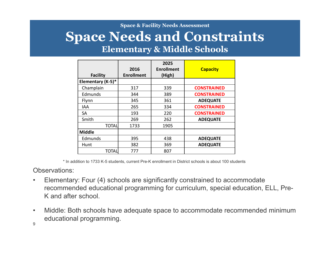#### **Space & Facility Needs Assessment**

#### **Space Needs and ConstraintsElementary & Middle Schools**

| <b>Facility</b>   | 2016<br><b>Enrollment</b> | 2025<br><b>Enrollment</b><br>(High) | <b>Capacity</b>    |
|-------------------|---------------------------|-------------------------------------|--------------------|
| Elementary (K-5)* |                           |                                     |                    |
| Champlain         | 317                       | 339                                 | <b>CONSTRAINED</b> |
| Edmunds           | 344                       | 389                                 | <b>CONSTRAINED</b> |
| Flynn             | 345                       | 361                                 | <b>ADEQUATE</b>    |
| IAA               | 265                       | 334                                 | <b>CONSTRAINED</b> |
| <b>SA</b>         | 193                       | 220                                 | <b>CONSTRAINED</b> |
| Smith             | 269                       | 262                                 | <b>ADEQUATE</b>    |
| <b>TOTAL</b>      | 1733                      | 1905                                |                    |
| <b>Middle</b>     |                           |                                     |                    |
| Edmunds           | 395                       | 438                                 | <b>ADEQUATE</b>    |
| Hunt              | 382                       | 369                                 | <b>ADEQUATE</b>    |
| TOTAL             | 777                       | 807                                 |                    |

\* In addition to 1733 K-5 students, current Pre-K enrollment in District schools is about 100 students

Observations:

- • Elementary: Four (4) schools are significantly constrained to accommodate recommended educational programming for curriculum, special education, ELL, Pre-K and after school.
- • Middle: Both schools have adequate space to accommodate recommended minimum educational programming.

9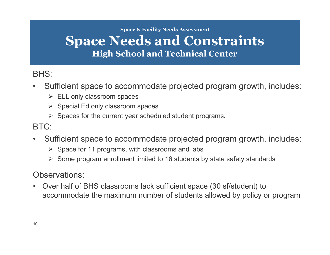**Space & Facility Needs Assessment**

### **Space Needs and ConstraintsHigh School and Technical Center**

BHS:

- $\bullet$  Sufficient space to accommodate projected program growth, includes:
	- > ELL only classroom spaces
	- Special Ed only classroom spaces
	- $\triangleright$  Spaces for the current year scheduled student programs.

BTC:

- $\bullet$  Sufficient space to accommodate projected program growth, includes:
	- $\triangleright$  Space for 11 programs, with classrooms and labs
	- ▶ Some program enrollment limited to 16 students by state safety standards

Observations:

 $\bullet$  Over half of BHS classrooms lack sufficient space (30 sf/student) to accommodate the maximum number of students allowed by policy or program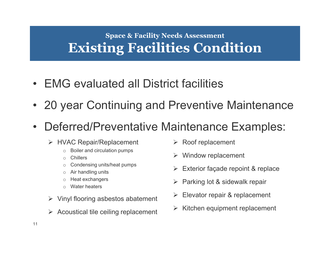#### **Space & Facility Needs AssessmentExisting Facilities Condition**

- EMG evaluated all District facilities
- 20 year Continuing and Preventive Maintenance
- $\bullet$  Deferred/Preventative Maintenance Examples:
	- → HVAC Repair/Replacement
		- oBoiler and circulation pumps
		- oChillers
		- oCondensing units/heat pumps
		- oAir handling units
		- oHeat exchangers
		- oWater heaters
	- > Vinyl flooring asbestos abatement
	- $\triangleright$  Acoustical tile ceiling replacement
- **► Roof replacement**
- $\blacktriangleright$ Window replacement
- $\blacktriangleright$ Exterior façade repoint & replace
- $\blacktriangleright$ Parking lot & sidewalk repair
- $\blacktriangleright$ Elevator repair & replacement
- > Kitchen equipment replacement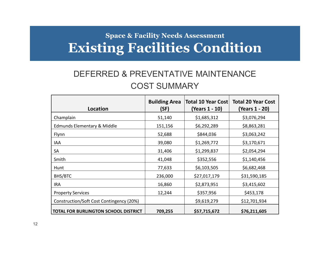#### **Space & Facility Needs AssessmentExisting Facilities Condition**

#### DEFERRED & PREVENTATIVE MAINTENANCECOST SUMMARY

| Location                                    | <b>Building Area</b><br>(SF) | <b>Total 10 Year Cost</b><br>(Years 1 - 10) | <b>Total 20 Year Cost</b><br>(Years 1 - 20) |
|---------------------------------------------|------------------------------|---------------------------------------------|---------------------------------------------|
| Champlain                                   | 51,140                       | \$1,685,312                                 | \$3,076,294                                 |
| Edmunds Elementary & Middle                 | 151,156                      | \$6,292,289                                 | \$8,863,281                                 |
| Flynn                                       | 52,688                       | \$844,036                                   | \$3,063,242                                 |
| IAA                                         | 39,080                       | \$1,269,772                                 | \$3,170,671                                 |
| <b>SA</b>                                   | 31,406                       | \$1,299,837                                 | \$2,054,294                                 |
| Smith                                       | 41,048                       | \$352,556                                   | \$1,140,456                                 |
| Hunt                                        | 77,633                       | \$6,103,505                                 | \$6,682,468                                 |
| BHS/BTC                                     | 236,000                      | \$27,017,179                                | \$31,590,185                                |
| IRA                                         | 16,860                       | \$2,873,951                                 | \$3,415,602                                 |
| <b>Property Services</b>                    | 12,244                       | \$357,956                                   | \$453,178                                   |
| Construction/Soft Cost Contingency (20%)    |                              | \$9,619,279                                 | \$12,701,934                                |
| <b>TOTAL FOR BURLINGTON SCHOOL DISTRICT</b> | 709,255                      | \$57,715,672                                | \$76,211,605                                |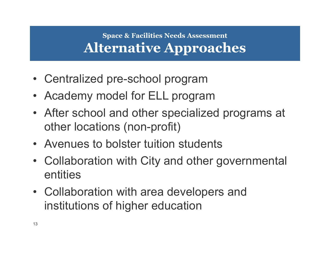### **Space & Facilities Needs AssessmentAlternative Approaches**

- Centralized pre-school program
- Academy model for ELL program
- After school and other specialized programs at other locations (non-profit)
- Avenues to bolster tuition students
- Collaboration with City and other governmental entities
- Collaboration with area developers and institutions of higher education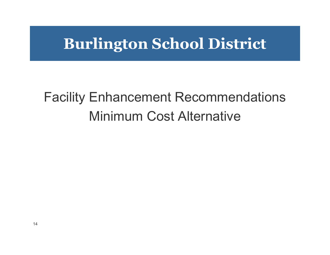### **Burlington School District**

## Facility Enhancement RecommendationsMinimum Cost Alternative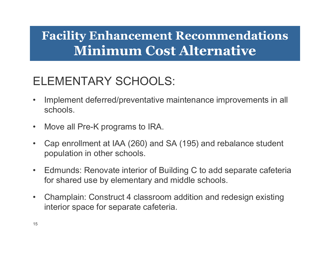### ELEMENTARY SCHOOLS:

- $\bullet$  Implement deferred/preventative maintenance improvements in all schools.
- $\bullet$ Move all Pre-K programs to IRA.
- • Cap enrollment at IAA (260) and SA (195) and rebalance student population in other schools.
- $\bullet$  Edmunds: Renovate interior of Building C to add separate cafeteria for shared use by elementary and middle schools.
- $\bullet$  Champlain: Construct 4 classroom addition and redesign existing interior space for separate cafeteria.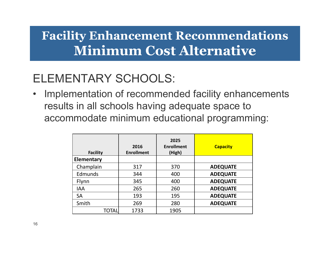### ELEMENTARY SCHOOLS:

• Implementation of recommended facility enhancements results in all schools having adequate space to accommodate minimum educational programming:

| <b>Facility</b> | 2016<br><b>Enrollment</b> | 2025<br><b>Enrollment</b><br>(High) | <b>Capacity</b> |
|-----------------|---------------------------|-------------------------------------|-----------------|
| Elementary      |                           |                                     |                 |
| Champlain       | 317                       | 370                                 | <b>ADEQUATE</b> |
| Edmunds         | 344                       | 400                                 | <b>ADEQUATE</b> |
| Flynn           | 345                       | 400                                 | <b>ADEQUATE</b> |
| <b>IAA</b>      | 265                       | 260                                 | <b>ADEQUATE</b> |
| <b>SA</b>       | 193                       | 195                                 | <b>ADEQUATE</b> |
| Smith           | 269                       | 280                                 | <b>ADEQUATE</b> |
| TOTAL           | 1733                      | 1905                                |                 |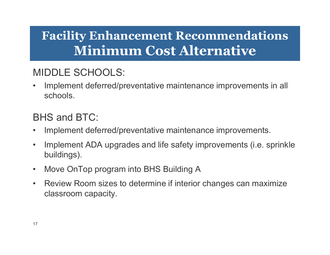#### MIDDLE SCHOOLS:

• Implement deferred/preventative maintenance improvements in all schools.

#### BHS and BTC:

- $\bullet$ Implement deferred/preventative maintenance improvements.
- $\bullet$  Implement ADA upgrades and life safety improvements (i.e. sprinkle buildings).
- $\bullet$ Move OnTop program into BHS Building A
- $\bullet$  Review Room sizes to determine if interior changes can maximize classroom capacity.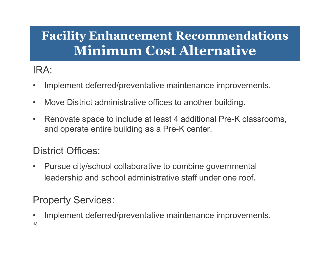#### IRA:

- •Implement deferred/preventative maintenance improvements.
- $\bullet$ Move District administrative offices to another building.
- $\bullet$  Renovate space to include at least 4 additional Pre-K classrooms, and operate entire building as a Pre-K center.

#### District Offices:

 $\bullet$  Pursue city/school collaborative to combine governmental leadership and school administrative staff under one roof.

#### Property Services:

18•Implement deferred/preventative maintenance improvements.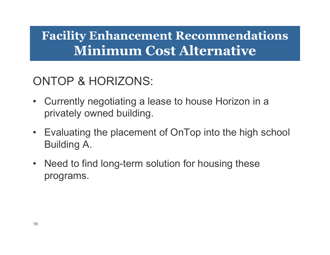### ONTOP & HORIZONS:

- Currently negotiating a lease to house Horizon in a privately owned building.
- Evaluating the placement of OnTop into the high school Building A.
- Need to find long-term solution for housing these programs.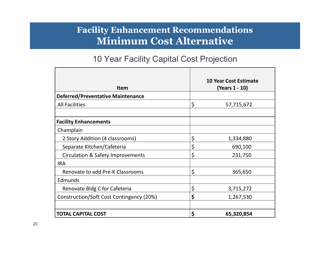#### 10 Year Facility Capital Cost Projection

| <b>Item</b>                              | <b>10 Year Cost Estimate</b><br>(Years 1 - 10) |
|------------------------------------------|------------------------------------------------|
| <b>Deferred/Preventative Maintenance</b> |                                                |
| <b>All Facilities</b>                    | \$<br>57,715,672                               |
|                                          |                                                |
| <b>Facility Enhancements</b>             |                                                |
| Champlain                                |                                                |
| 2 Story Addition (4 classrooms)          | \$<br>1,334,880                                |
| Separate Kitchen/Cafeteria               | \$<br>690,100                                  |
| Circulation & Safety Improvements        | \$<br>231,750                                  |
| <b>IRA</b>                               |                                                |
| Renovate to add Pre-K Classrooms         | \$<br>365,650                                  |
| Edmunds                                  |                                                |
| Renovate Bldg C for Cafeteria            | \$<br>3,715,272                                |
| Construction/Soft Cost Contingency (20%) | \$<br>1,267,530                                |
|                                          |                                                |
| <b>TOTAL CAPITAL COST</b>                | \$<br>65,320,854                               |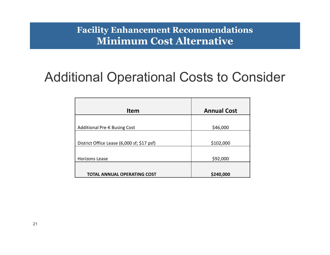### Additional Operational Costs to Consider

| <b>Item</b>                                | <b>Annual Cost</b> |
|--------------------------------------------|--------------------|
| <b>Additional Pre-K Busing Cost</b>        | \$46,000           |
|                                            |                    |
| District Office Lease (6,000 sf; \$17 psf) | \$102,000          |
|                                            |                    |
| <b>Horizons Lease</b>                      | \$92,000           |
|                                            |                    |
| <b>TOTAL ANNUAL OPERATING COST</b>         | \$240,000          |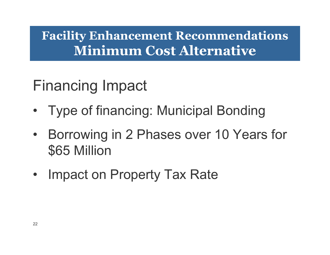## Financing Impact

- •Type of financing: Municipal Bonding
- •Borrowing in 2 Phases over 10 Years for \$65 Million
- Impact on Property Tax Rate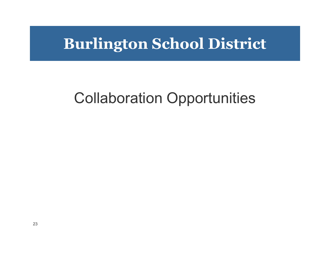### **Burlington School District**

## Collaboration Opportunities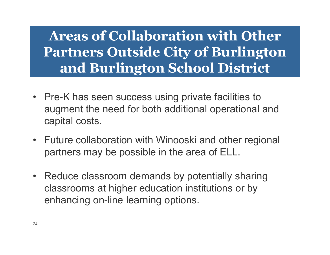### **Areas of Collaboration with Other Partners Outside City of Burlington and Burlington School District**

- Pre-K has seen success using private facilities to augment the need for both additional operational and capital costs.
- Future collaboration with Winooski and other regional partners may be possible in the area of ELL.
- Reduce classroom demands by potentially sharing classrooms at higher education institutions or by enhancing on-line learning options.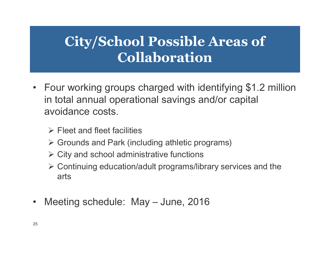### **City/School Possible Areas of Collaboration**

- Four working groups charged with identifying \$1.2 million in total annual operational savings and/or capital avoidance costs.
	- $\triangleright$  Fleet and fleet facilities
	- Grounds and Park (including athletic programs)
	- > City and school administrative functions
	- Continuing education/adult programs/library services and the arts
- •Meeting schedule: May – June, 2016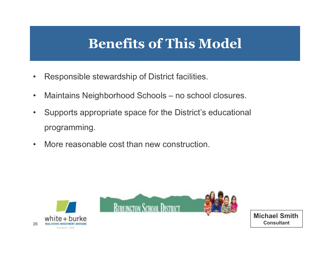### **Benefits of This Model**

- •Responsible stewardship of District facilities.
- $\bullet$ Maintains Neighborhood Schools – no school closures.
- $\bullet$  Supports appropriate space for the District's educational programming.
- $\bullet$ More reasonable cost than new construction.